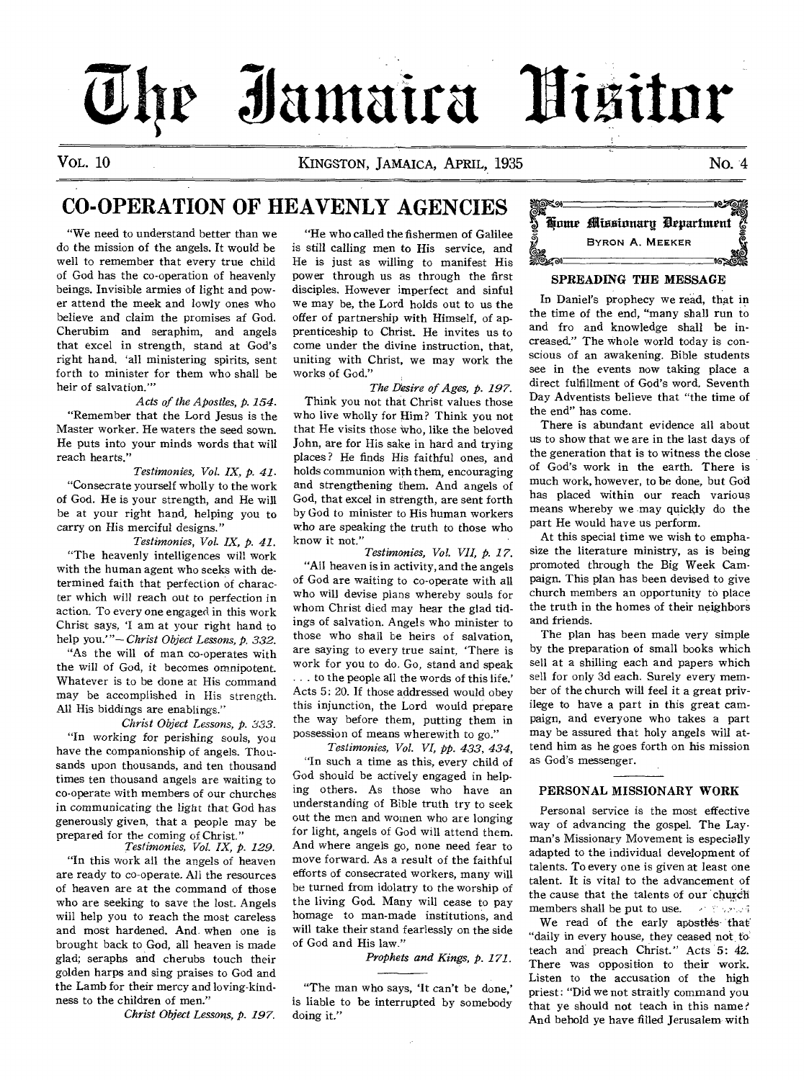# **\_iiiamaira "Dititur**   $0 \text{ tr}$

VOL. 10 KINGSTON, JAMAICA, APRIL, 1935 No. 4

# CO-OPERATION OF HEAVENLY AGENCIES

"We need to understand better than we do the mission of the angels. It would be well to remember that every true child of God has the co-operation of heavenly beings. Invisible armies of light and power attend the meek and lowly ones who believe and claim the promises af God. Cherubim and seraphim, and angels that excel in strength, stand at God's right hand. 'all ministering spirits, sent forth to minister for them who shall be heir of salvation."'

*Acts of the Apostles, p. 154.*  "Remember that the Lord Jesus is the Master worker. He waters the seed sown. He puts into your minds words that will reach hearts."

*Testimonies, Vol. IX, p. 41.*  "Consecrate yourself wholly to the work of God. He is your strength, and He will be at your right hand, helping you to carry on His merciful designs."

*Testimonies, Vol. IX,* p. *41.*  "The heavenly intelligences will work with the human agent who seeks with determined faith that perfection of character which will reach out to perfection in action. To every one engaged in this work Christ says, 'I am at your right hand to help you.'"— *Christ Object Lessons, p. 332.*  "As the will of man co-operates with

the will of God, it becomes omnipotent. Whatever is to be done at His command may be accomplished in His strength. All His biddings are enablings."

*Christ Object Lessons, p. 333.*  "In *working* for perishing souls, you have the companionship of angels. Thousands upon thousands, and ten thousand times ten thousand angels are waiting to co-operate with members of our churches in communicating the light that God has generously given, that a people may be prepared for the coming of Christ."

*Testimonies, Vol. IX, p. 129.*  "In this work all the angels of heaven are ready to co-operate. All the resources of heaven are at the command of those who are seeking to save the lost. Angels will help you to reach the most careless and most hardened. And when one is brought back to God, all heaven is made glad; seraphs and cherubs touch their golden harps and sing praises to God and the Lamb for their mercy and loving-kindness to the children of men."

*Christ Object Lessons, p. 197.* 

"He who called the fishermen of Galilee is still calling men to His service, and He is just as willing to manifest His power through us as through the first disciples. However imperfect and sinful we may be, the Lord holds out to us the offer of partnership with Himself, of apprenticeship to Christ. He invites us to come under the divine instruction, that, uniting with Christ, we may work the works of God."

*The Desire of Ages, p. 197.*  Think you not that Christ values those who live wholly for Him? Think you not that He visits those who, like the beloved John, are for His sake in hard and trying places? He finds His faithful ones, and holds communion with them, encouraging and strengthening them. And angels of God, that excel in strength, are sent forth by God to minister to His human workers who are speaking the truth to those who know it not.'

*Testimonies, Vol. VII, p. 17.*  "All heaven is in activity, and the angels of God are waiting to co-operate with all who will devise plans whereby souls for whom Christ died may hear the glad tidings of salvation. Angels who minister to those who shall be heirs of salvation, are saying to every true saint, 'There is work for you to do. Go, stand and speak . . . to the people all the words of this life.' Acts 5: 20. If those addressed would obey this injunction, the Lord would prepare the way before them, putting them in possession of means wherewith to go."

*Testimonies, Vol. VI, pp. 433, 434,*  "In such a time as this, every child of God should be actively engaged in helping others. As those who have an understanding of Bible truth try to seek out the men and women who are longing for light, angels of God will attend them. And where angels go, none need fear to move forward. As a result of the faithful efforts of consecrated workers, many will be turned from idolatry to the worship of the living God. Many will cease to pay homage to man-made institutions, and will take their stand fearlessly on the side of God and His law."

*Prophets and Kings, p. 171.* 

"The man who says, 'It can't be done,' is liable to be interrupted by somebody doing it."



# SPREADING THE MESSAGE

In Daniel's prophecy we read, that in the time of the end, "many shall run to and fro and knowledge shall be increased." The whole world today is conscious of an awakening. Bible students see in the events now taking place a direct fulfillment of God's word. Seventh Day Adventists believe that "the time of the end" has come.

There is abundant evidence all about us to show that we are in the last days of the generation that is to witness the close of God's work in the earth. There is much work, however, to be done, but God has placed within our reach various means whereby we may quickly do the part He would have us perform.

At this special time we wish to emphasize the literature ministry, as is being promoted through the Big Week Campaign. This plan has been devised to give church members an opportunity to place the truth in the homes of their neighbors and friends.

The plan has been made very simple by the preparation of small books which sell at a shilling each and papers which sell for only 3d each. Surely every member of the church will feel it a great privilege to have a part in this great campaign, and everyone who takes a part may be assured that holy angels will attend him as he goes forth on his mission as God's messenger.

# PERSONAL MISSIONARY WORK

Personal service is the most effective way of advancing the gospel. The Layman's Missionary Movement is especially adapted to the individual development of talents. To every one is given at least one talent. It is vital to the advancement of the cause that the talents of our church members shall be put to use.  $\rightarrow$  2007.

We read of the early apostles that "daily in every house, they ceased not to teach and preach Christ." Acts 5: 42. There was opposition to their work. Listen to the accusation of the high priest: "Did we not straitly command you that ye should not teach in this name ? And behold ye have filled Jerusalem with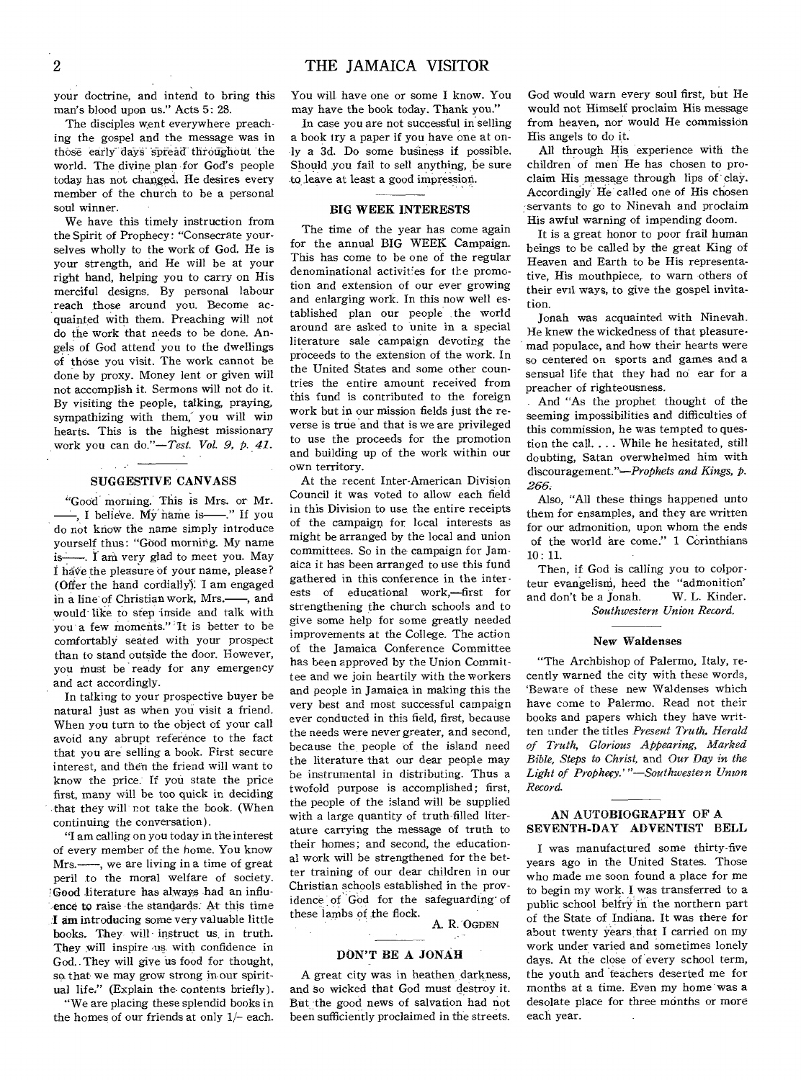your doctrine, and intend to bring this man's blood upon us." Acts 5: 28.

The disciples went everywhere preaching the gospel and the message was in those early days spread throughout the world. The divine plan for God's people today has not changed. He desires every member of the church to be a personal soul winner.

We have this timely instruction from the Spirit of Prophecy: "Consecrate yourselves wholly to the work of God. He is your strength, and He will be at your right hand, helping you to carry on His merciful designs. By personal labour reach those around you. Become acquainted with them. Preaching will not do the work that needs to be done. Angels of God attend you to the dwellings of those you visit. The work cannot be done by proxy. Money lent or given will not accomplish it. Sermons will not do it. By visiting the people, talking, praying, sympathizing with them; you will win hearts. This is the highest missionary work you can *do."—Test. Vol. 9, p. 42.* 

# SUGGESTIVE CANVASS

سنداني ال

"Good morning. This is Mrs. or Mr. -, I believe. My name is-" If you do not know the name simply introduce yourself thus: "Good morning. My name is—. I am very glad to meet you. May I have the pleasure of your name, please? (Offer the hand cordially). I am engaged in a line of Christian work, Mrs.—, and would-like to step inside and talk with you a few moments." It is better to be comfortably seated with your prospect than to stand outside the door. However, you must be ready for any emergency and act accordingly.

In talking to your prospective buyer be natural just as when you visit a friend. When you turn to the object of your call avoid any abrupt reference to the fact that you are selling a book. First secure interest, and then the friend will want to know the price: If you state the price first, many will be too quick in deciding .that they will not take the book. (When continuing the conversation).

"I am calling on you today in the interest of every member of the home. You know Mrs.—, we are living in a time of great peril to the moral welfare of society. Good literature has always had an influence to raise the standards. At this time :I am introducing some very valuable little books. They will instruct us. in truth. They will inspire us with confidence in God.. They will give us food for thought, so that we may grow strong in our spiritual life." (Explain the contents briefly).

"We are placing these splendid books in the homes of our friends at only  $1/-$  each.

You will have one or some I know. You may have the book today. Thank you."

In case you are not successful in selling a book try a paper if you have one at only a 3d. Do some business if possible. Should you fail to sell anything, be sure to leave at least a good impression.

# BIG WEEK INTERESTS

The time of the year has come again for the annual BIG WEEK Campaign. This has come to be one of the regular denominational activities for the promotion and extension of our ever growing and enlarging work. In this now well established plan our people the world around are asked to unite in a special literature sale campaign devoting the proceeds to the extension of the work. In the United States and some other countries the entire amount received from this fund is contributed to the foreign work but in our mission fields just the reverse is true and that is we are privileged to use the proceeds for the promotion and building up of the work within our own territory.

At the recent Inter-American Division Council it was voted to allow each field in this Division to use the entire receipts of the campaign for local interests as might be arranged by the local and union committees. So in the campaign for Jamaica it has been arranged to use this fund gathered in this conference in the interests of educational work,—first for strengthening the church schools and to give some help for some greatly needed improvements at the College. The action of the Jamaica Conference Committee has been approved by the Union Committee and we join heartily with the workers and people in Jamaica in making this the very best and most successful campaign ever conducted in this field, first, because the needs were never greater, and second, because the, people of the island need the literature that our dear people may be instrumental in distributing. Thus a twofold purpose is accomplished; first, the people of the island will be supplied with a large quantity of truth-filled literature carrying the message of truth to their homes; and second, the educational work will be strengthened for the better training of our dear children in our Christian schools established in the providence of God for the safeguarding' of these lambs of the flock.

A. R. 'OGDEN

# DON'T BE A JONAH

A great city was in heathen darkness, and so wicked that God must destroy it. But the good news of salvation had not been sufficiently proclaimed in the streets.

God would warn every soul first, but He would not Himself proclaim His message from heaven, nor would He commission His angels to do it.

All through His experience with the children of men He has chosen to proclaim His message through lips of clay. Accordingly He called one of His chosen servants to go to Ninevah and proclaim His awful warning of impending doom.

It is a great honor to poor frail human beings to be called by the great King of Heaven and Earth to be His representative, His mouthpiece, to warn others of their evil ways, to give the gospel invitation.

Jonah was acquainted with Ninevah. He knew the wickedness of that pleasuremad populace, and how their hearts were so centered on sports and games and a sensual life that they had no ear for a preacher of righteousness.

And "As the prophet thought of the seeming impossibilities and difficulties of this commission, he was tempted to question the call.... While he hesitated, still doubting, Satan overwhelmed him with discouragement."-Prophets and Kings, p. *266.* 

Also, "All these things happened unto them for ensamples, and they are written for our admonition, upon whom the ends of the world are come." 1 Corinthians 10 : 11.

Then, if God is calling you to colporteur evangelism, heed the "admonition"<br>and don't be a Jonah. W. L. Kinder. and don't be a Jonah. *Southwestern Union Record.* 

#### New Waldenses

"The Archbishop of Palermo, Italy, recently warned the city with these words, `Beware of these new Waldenses which have come to Palermo. Read not their books and papers which they have written under the titles *Present Truth, Herald of Truth, Glorious Appearing, Marked Bible, Steps to Christ,* and *Our Day in the*  Light of Prophecy.'"-Southwestern Union *Record.* 

# AN AUTOBIOGRAPHY OF A SEVENTH-DAY ADVENTIST BELL

I was manufactured some thirty-five years ago in the United States. Those who made me soon found a place for me to begin my work. I was transferred to a public school belfry in the northern part of the State of Indiana. It was there for about twenty years that I carried on my work under varied and sometimes lonely days. At the close of every school term, the youth and 'teachers deserted me for months at a time. Even my home was a desolate place for three months or more each year.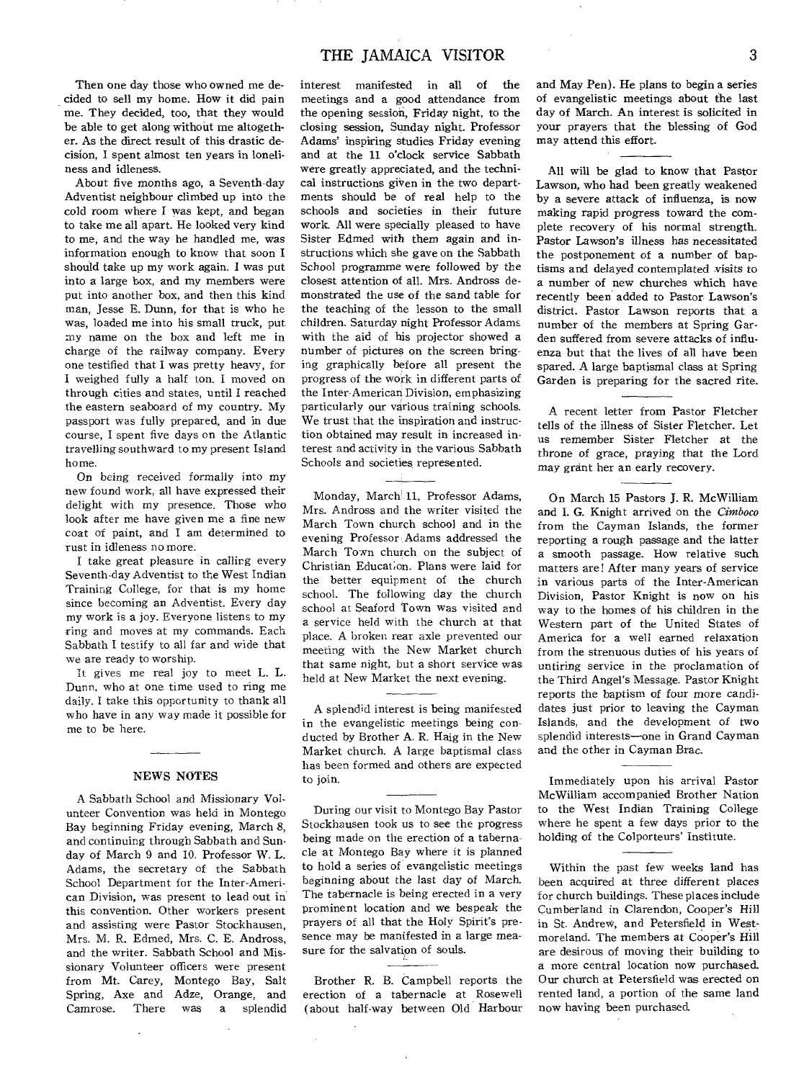Then one day those who owned me decided to sell my home. How it did pain me. They decided, too, that they would be able to get along without me altogether. As the direct result of this drastic decision, I spent almost ten years in loneliness and idleness.

About five months ago, a Seventh-day Adventist neighbour climbed up into the cold room where I was kept, and began to take me all apart. He looked very kind to me, and the way he handled me, was information enough to know that soon I should take up my work again. I was put into a large box, and my members were put into another box, and then this kind man, Jesse E. Dunn, for that is who he was, loaded me into his small truck, put my name on the box and left me in charge of the railway company. Every one testified that I was pretty heavy, for I weighed fully a half ton. I moved on through cities and states, until I reached the eastern seaboard of my country. My passport was fully prepared, and in due course, I spent five days on the Atlantic travelling southward to my present Island home.

On being received formally into my new found work, all have expressed their delight with my presence. Those who look after me have given me a fine new coat of paint, and I am determined to rust in idleness no more.

I take great pleasure in calling every Seventh-day Adventist to the West Indian Training College, for that is my home since becoming an Adventist. Every day my work is a joy. Everyone listens to my ring and moves at my commands. Each Sabbath I testify to all far and wide that we are ready to worship.

It gives me real joy to meet L. L. Dunn, who at one time used to ring me daily. I take this opportunity to thank all who have in any way made it possible for me to be here.

#### NEWS NOTES

A Sabbath School and Missionary Volunteer Convention was held in Montego Bay beginning Friday evening, March 8, and continuing through Sabbath and Sunday of March 9 and 10. Professor W. L. Adams, the secretary of the Sabbath School Department for the Inter-American Division, was present to lead out in this convention. Other workers present and assisting were Pastor Stockhausen, Mrs. M. R. Edmed, Mrs. C. E. Andross, and the writer. Sabbath School and Missionary Volunteer officers were present from Mt. Carey, Montego Bay, Salt Spring, Axe and Adze, Orange, and<br>Camrose. There was a splendid Camrose. There was a splendid

interest manifested in all of the meetings and a good attendance from the opening session, Friday night, to the closing session, Sunday night. Professor Adams' inspiring studies Friday evening and at the 11 o'clock service Sabbath were greatly appreciated, and the technical instructions given in the two departments should be of real help to the schools and societies in their future work. All were specially pleased to have Sister Edmed with them again and instructions which she gave on the Sabbath School programme were followed by the closest attention of all. Mrs. Andross demonstrated the use of the sand table for the teaching of the lesson to the small children. Saturday night Professor Adams with the aid of his projector showed a number of pictures on the screen bringing graphically before all present the progress of the work in different parts of the Inter-American Division, emphasizing particularly our various training schools. We trust that the inspiration and instruction obtained may result in increased interest and activity in the various Sabbath Schools and societies represented.

Monday, March 11, Professor Adams, Mrs. Andross and the writer visited the March Town church school and in the evening Professor Adams addressed the March Town church on the subject of Christian Educat;on. Plans were laid for the better equipment of the church school. The following day the church school at Seaford Town was visited and a service held with the church at that place. A broken rear axle prevented our meeting with the New Market church that same night, but a short service was held at New Market the next evening.

A splendid interest is being manifested in the evangelistic meetings being conducted by Brother A. R. Haig in the New Market church. A large baptismal class has been formed and others are expected to join.

During our visit to Montego Bay Pastor Stockhausen took us to see the progress being made on the erection of a tabernacle at Montego Bay where it is planned to hold a series of evangelistic meetings beginning about the last day of March. The tabernacle is being erected in a very prominent location and we bespeak the prayers of all that the Holy Spirit's presence may be manifested in a large measure for the salvation of souls.

Brother R. B. Campbell reports the erection of a tabernacle at Rosewell (about half-way between Old Harbour

 $\sim$ 

and May Pen). He plans to begin a series of evangelistic meetings about the last day of March. An interest is solicited in your prayers that the blessing of God may attend this effort.

All will be glad to know that Pastor Lawson, who had been greatly weakened by a severe attack of influenza, is now making rapid progress toward the complete recovery of his normal strength. Pastor *Lawson's* illness has necessitated the postponement of a number of baptisms and delayed contemplated visits to a number of new churches which have recently been added to Pastor Lawson's district. Pastor Lawson reports that a number of the members at Spring Garden suffered from severe attacks of influenza but that the lives of all have been spared. A large baptismal class at Spring Garden is preparing for the sacred rite.

A recent letter from Pastor Fletcher tells of the illness of Sister Fletcher. Let us remember Sister Fletcher at the throne of grace, praying that the Lord may grant her an early recovery.

On March 15 Pastors J. R. McWilliam and I. G. Knight arrived on the *Cimboco*  from the Cayman Islands, the former reporting a rough passage and the latter a smooth passage. How relative such matters are! After many years of service in various parts of the Inter-American Division, Pastor Knight is now on his way to the homes of his children in the Western part of the United States of America for a well earned relaxation from the strenuous duties of his years of untiring service in the proclamation of the Third Angel's Message. Pastor Knight reports the baptism of four more candidates just prior to leaving the Cayman Islands, and the development of two splendid interests—one in Grand Cayman and the other in Cayman Brac.

Immediately upon his arrival Pastor McWilliam accompanied Brother Nation to the West Indian Training College where he spent a few days prior to the holding of the Colporteurs' Institute.

Within the past few weeks land has been acquired at three different places for church buildings. These places include Cumberland in Clarendon, Cooper's Hill in St. Andrew, and Petersfield in Westmoreland. The members at Cooper's Hill are desirous of moving their building to a more central location now purchased. Our church at Petersfield was erected on rented land, a portion of the same land now having been purchased.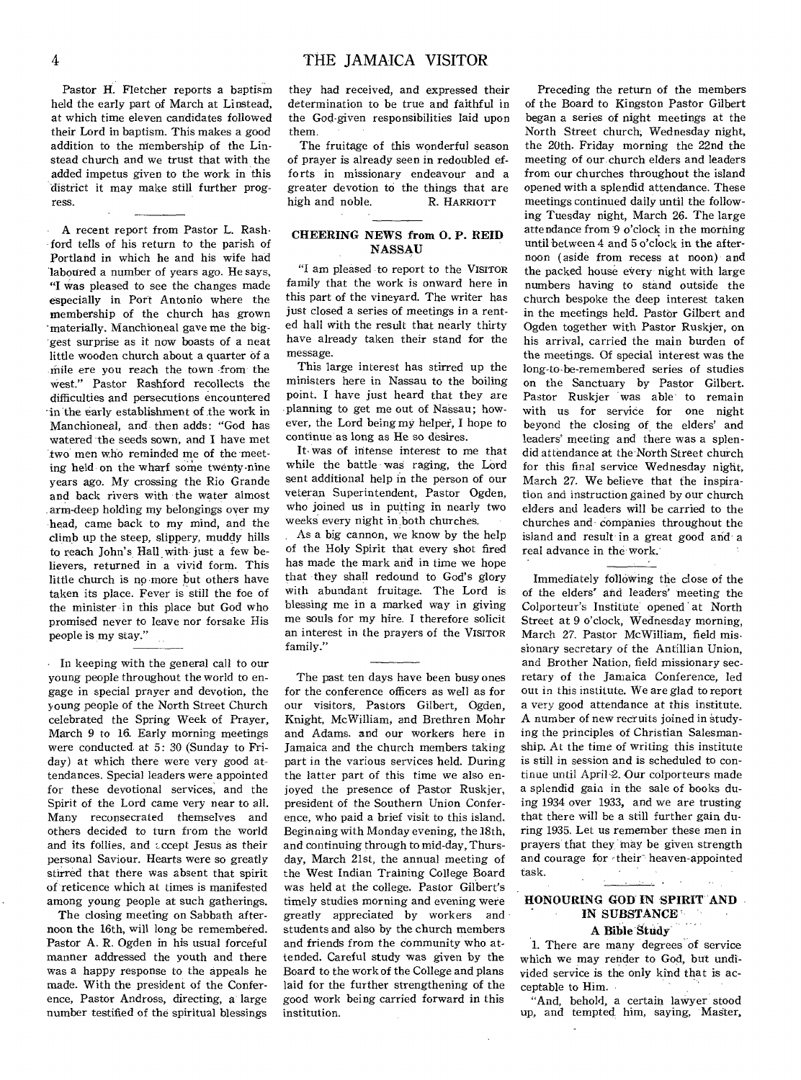Pastor H. Fletcher reports a baptism held the early part of March at Linstead, at which time eleven candidates followed their Lord in baptism. This makes a good addition to the membership of the Linstead church and we trust that with the added impetus given to the work in this district it may make still further progress.

A recent report from Pastor L. Rashford tells of his return to the parish of Portland in which he and his wife had 'laboured a number of years ago. He says, "I was pleased to see the changes made especially in Port Antonio where the membership of the church has grown -materially. Manchioneal gave me the biggest surprise as it now boasts of a neat little wooden church about a quarter of a -mile ere you reach the town -from the west." Pastor Rashford recollects the difficulties and persecutions encountered in the early establishment of the work in Manchioneal, and then adds: "God has watered the seeds sown, and I have met two men who reminded me of the meeting held on the wharf some twenty-nine years ago. My crossing the Rio Grande and back rivers with the water almost arm-deep holding my belongings over my head, came back to my mind, and the climb up the steep, slippery, muddy hills to reach John's Hall- with just a few believers, returned in a vivid form. This little church is no more but others have taken its place. Fever is still the foe of the minister in this place but God who promised never to leave nor forsake His people is my stay."

In keeping with the general call to our young people throughout the world to engage in special prayer and devotion, the young people of the North Street Church celebrated the Spring Week of Prayer, March 9 to 16. Early morning meetings were conducted at 5: 30 (Sunday to Friday) at which there were very good attendances. Special leaders were appointed for these devotional services, and the Spirit of the Lord came very near to all. Many reconsecrated themselves and others decided to turn from the world and its follies, and  $i$ ccept Jesus as their personal Saviour. Hearts were so greatly stirred that there was absent that spirit of reticence which at times is manifested among young people at such gatherings.

The closing meeting on Sabbath afternoon the 16th, will long be remembered. Pastor A. R. Ogden in his usual forceful manner addressed the youth and there was a happy response to the appeals he made. With the president of the Conference, Pastor Andross, directing, a large number testified of the spiritual blessings

they had received, and expressed their determination to be true and faithful in the God-given responsibilities laid upon them.

The fruitage of this wonderful season of prayer is already seen in redoubled efforts in missionary endeavour and a greater devotion to the things that are high and noble. R. HARRIOTT

# **CHEERING NEWS from 0. P. REID NASSAU**

"I am pleased to report to the VISITOR family that the work is onward here in this part of the vineyard. The writer has just closed a series of meetings in a rented hall with the result that nearly thirty have already taken their stand for the message.

This large interest has stirred up the ministers here in Nassau to the boiling point. I have just heard that they are planning to get me out of Nassau; however, the Lord being my helper, I hope to continue as long as He so desires.

It,was of intense interest to me that while the battle was raging, the Lord sent additional help in the person of our veteran Superintendent, Pastor Ogden, who joined us in putting in nearly two weeks every night in both churches.

As a big cannon, we know by the help of the Holy Spirit that every shot fired has made the mark and in time we hope that they shall redound to God's glory with abundant fruitage. The Lord is blessing me in a marked way in giving me souls for my hire. I therefore solicit an interest in the prayers of the VISITOR family."

The past ten days have been busy ones for the conference officers as well as for our visitors, Pastors Gilbert, Ogden, Knight, McWilliam, and Brethren Mohr and Adams. and our workers here in Jamaica and the church members taking part in the various services held. During the latter part of this time we also enjoyed the presence of Pastor Ruskjer, president of the Southern Union Conference, who paid a brief visit to this island. Beginning with Monday evening, the 18th, and continuing through to mid-day, Thursday, March 21st, the annual meeting of the West Indian Training College Board was held at the college. Pastor Gilbert's timely studies morning and evening were greatly appreciated by workers and students and also by the church members and friends from the community who attended. Careful study was given by the Board to the work of the College and plans laid for the further strengthening of the good work being carried forward in this institution.

Preceding the return of the members of the Board to Kingston Pastor Gilbert began a series of night meetings at the North Street church; Wednesday night, the 20th. Friday morning the 22nd the meeting of our church elders and leaders from our churches throughout the island opened with a splendid attendance. These meetings continued daily until the following Tuesday night, March 26. The large attendance from  $9$  o'clock in the morning until between 4 and 5 o'clock in the afternoon (aside from recess at noon) and the packed house every night with large numbers having to stand outside the church bespoke the deep interest taken in the meetings held. Pastor Gilbert and Ogden together with Pastor Ruskjer, on his arrival, carried the main burden of the meetings. Of special interest was the long-to-be-remembered series of studies on the Sanctuary by Pastor Gilbert. Pastor Ruskjer was able to remain with us for service for one night beyond the closing of the elders' and leaders' meeting and there was a splendid attendance at the North Street church for this final service Wednesday night, March 27. We believe that the inspiration and instruction gained by our church elders and leaders will be carried to the churches and companies throughout the island and result in a great good and a real advance in the work.

Immediately following the close of the of the elders' and leaders' meeting the Colporteur's Institute opened at North Street at 9 o'clock, Wednesday morning, March 27. Pastor McWilliam, field missionary secretary of the Antillian Union, and Brother Nation, field missionary secretary of the Jamaica Conference, led out in this institute. We are glad to report a very good attendance at this institute. A number of new recruits joined in studying the principles of Christian Salesmanship. At the time of writing this institute is still in session and is scheduled to continue until April-2. Our colporteurs made a splendid gain in the sale of books duing 1934 over 1933, and we are trusting that there will be a still further gain during 1935. Let us remember these men in prayers that they may be given strength and courage for -their heaven-appointed task.

# **HONOURING GOD IN SPIRIT AND IN SUBSTANCE ' A Bible Study.**

1. There are many degrees of service which we may render to God, but undivided service is the only kind that is acceptable to Him.

"And, behold, a certain lawyer stood up, and tempted him, saying, Master,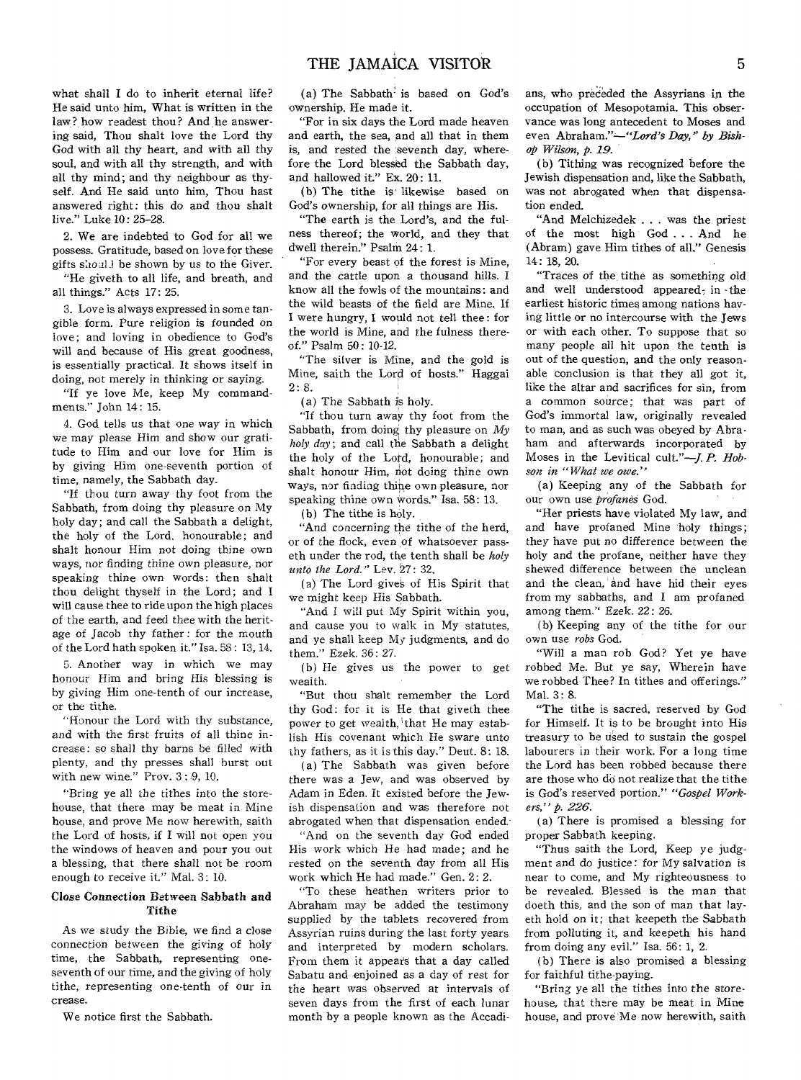what shall I do to inherit eternal life? He said unto him, What is written in the law? how readest thou? And he answering said, Thou shalt love the Lord thy God with all thy heart, and with all thy soul, and with all thy strength, and with all thy mind; and thy neighbour as thyself. And He said unto him, Thou hast answered right: this do and thou shalt live." Luke 10: 25-28.

2. We are indebted to God for all we possess. Gratitude, based on love for these gifts should be shown by us to the Giver.

"He giveth to all life, and breath, and all things." Acts 17: 25.

3. Love is always expressed in some tangible form. Pure religion is founded on love; and loving in obedience to God's will and because of His great goodness, is essentially practical. It shows itself in doing, not merely in thinking or saying.

"If ye love Me, keep My commandments." John 14: 15.

4. God tells us that *one* way in which we may please Him and show our gratitude to Him and our love for Him is by giving Him one-seventh portion of time, namely, the Sabbath day.

"If thou turn away thy foot from the Sabbath, from doing thy pleasure on My holy day; and call the Sabbath a delight, the holy of the Lord, honourable; and shalt honour Him not doing thine own ways, nor finding thine own pleasure, nor speaking thine own words: then shalt thou delight thyself in the Lord; and I will cause thee to ride upon the high places of the earth, and feed thee with the heritage of Jacob thy father : for the mouth of the Lord bath spoken it," Isa. SS : 13, 14.

5. Another way in which we may honour Him and bring His blessing is by giving Him one-tenth of our increase, or the tithe.

"Honour the Lord with thy substance, and with the first fruits of all thine increase: so shall thy barns be filled with plenty, and thy presses shall burst out with new wine." Prov. 3 : 9, 10.

*"Bring* ye all the tithes into the storehouse, that there may be meat in Mine house, and prove Me now herewith, saith the Lord of hosts, if I will not open you the windows of heaven and pour you out a blessing, that there shall not be room enough to receive it." Mal. 3: 10.

### Close Connection Between Sabbath and Tithe

As we study the Bible, we find a close connection between the giving of holy time, the Sabbath, representing oneseventh of our time, and the giving of holy tithe, representing one-tenth of our in crease.

We notice first the Sabbath.

(a) The Sabbath is based on God's ownership. He made it.

"For in six days the Lord made heaven and earth, the sea, and all that in them is, and rested the seventh day, wherefore the Lord blessed the Sabbath day, and hallowed it." Ex. 20: 11.

(b) The tithe is' likewise based on God's ownership, for all things are His.

"The earth is the Lord's, and the fulness thereof; the world, and they that dwell therein." Psalm 24: 1.

"For every beast of the forest is Mine, and the cattle upon a thousand hills. I know all the fowls of the mountains: and the wild beasts of the field are Mine. If I were hungry, I would not tell thee : for the world is Mine, and the fulness thereof." Psalm 50: 10-12.

"The silver is Mine, and the gold is Mine, saith the Lord of hosts." Haggai 2: 8.

(a) The Sabbath is holy.

"If thou turn away thy foot from the Sabbath, from doing thy pleasure on *My holy day;* and call the Sabbath a delight the holy of the Lotd, honourable; and shalt honour Him, not doing thine own ways, nor finding thine own pleasure, nor speaking thine own words." Isa. 58: 13.

(b) The tithe is holy.

"And concerning the tithe of the herd, or of the flock, even of whatsoever passeth under the rod, the tenth shall be *holy unto the Lord."* Lev. 27: 32.

(a) The Lord gives of His Spirit that we might keep His Sabbath.

"And I will put My Spirit within you, and cause you to walk in My statutes, and ye shall keep My judgments, and do them." Ezek. 36: 27.

(b) He gives us the power to get wealth.

"But thou shalt remember the Lord thy God: for it is He that giveth thee power to get wealth, that He may establish His covenant which He sware unto thy fathers, as it is this day." Deut. 8: 18.

(a) The Sabbath was given before there was a Jew, and was observed by Adam in Eden. It existed before the Jewish dispensation and was therefore not abrogated when that dispensation ended.

"And on the seventh day God ended His work which He had made; and he rested on the seventh day from all His work which He had made." Gen. 2: 2.

"To these heathen writers prior to Abraham may be added the testimony supplied by the tablets recovered from Assyrian ruins during the last forty years and interpreted by modern scholars. From them it appears that a day called Sabatu and enjoined as a day of rest for the heart was observed at intervals of seven days from the first of each lunar month by a people known as the Accadians, who preceded the Assyrians in the occupation of Mesopotamia. This observance was long antecedent to Moses and even Abraham."—"Lord's *Day," by Bishop Wilson, p. 19.* 

(b) Tithing was recognized before the Jewish dispensation and, like the Sabbath, was not abrogated when that dispensation ended.

"And Melchizedek . . . was the priest of the most high God . . . And he (Abram) gave Him tithes of all," Genesis 14: 18, 20.

"Traces of the, tithe as something old and well understood appeared; in the earliest historic times among nations having little or no intercourse with the Jews or with each other. To suppose that so many people all hit upon the tenth is out of the question, and the only reasonable conclusion is that they all got it, like the altar and sacrifices for sin, from a common *source;* that was part of God's immortal law, originally revealed to man, and as such was obeyed by Abraham and afterwards incorporated by Moses in the Levitical cult."—J. *P. Hobson in "What we owe."* 

(a) Keeping any of the Sabbath for our own use *profanes* God.

"Her priests have violated My law, and and have profaned Mine 'holy things; they have put no difference between the holy and the profane, neither have they shewed difference between the unclean and the clean, and have hid their eyes from my sabbaths, and I am profaned among them." Ezek. 22: 26.

(b) Keeping any of the tithe for our own use *robs* God.

"Will a man rob God? Yet ye have robbed Me. But ye say, Wherein have we robbed Thee? In tithes and offerings." Mal. 3: 8.

"The tithe is sacred, reserved by God for Himself. It is to be brought into His treasury to be used to sustain the gospel labourers in their work. For a long time the Lord has been robbed because there are those who do not realize that the tithe is God's reserved portion." *"Gospel Workers," p. 226.* 

(a) There is promised a blessing for proper Sabbath keeping.

"Thus saith the Lord, Keep ye judgment and do justice: for My salvation is near to come, and My righteousness to be revealed. Blessed is the man that doeth this, and the son of man that layeth hold on it; that keepeth the Sabbath from polluting it, and keepeth his hand from doing any evil." Isa. 56: 1, 2.

(b) There is also promised a blessing for faithful tithe-paying.

"Bring ye all the tithes into the storehouse, that there may be meat in Mine house, and prove 'Me now herewith, saith